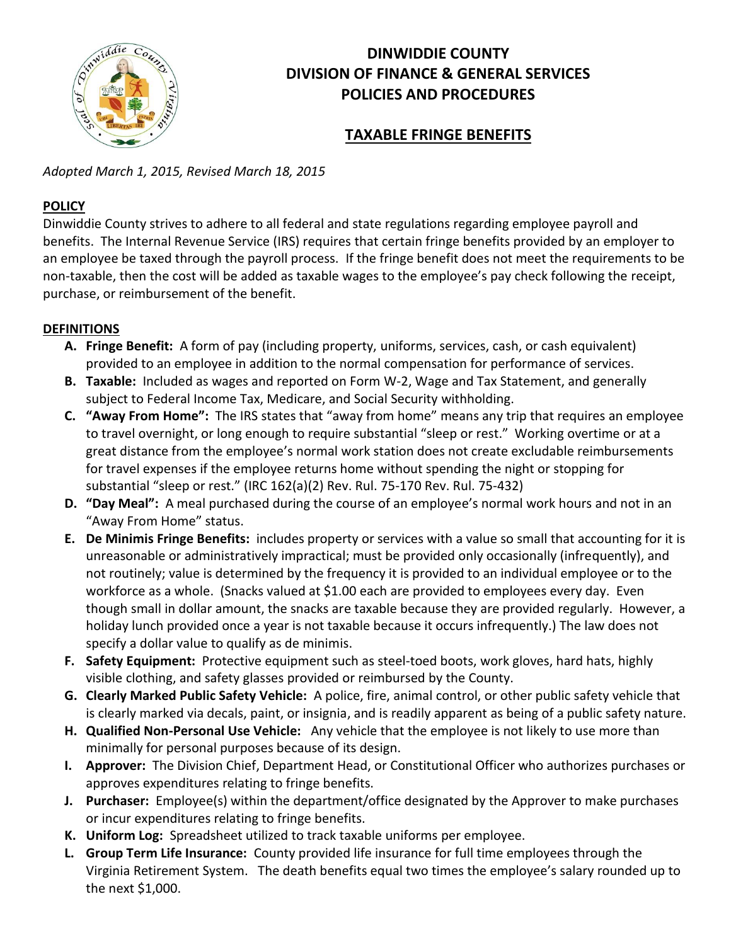

# **DINWIDDIE COUNTY DIVISION OF FINANCE & GENERAL SERVICES POLICIES AND PROCEDURES**

## **TAXABLE FRINGE BENEFITS**

*Adopted March 1, 2015, Revised March 18, 2015*

## **POLICY**

Dinwiddie County strives to adhere to all federal and state regulations regarding employee payroll and benefits. The Internal Revenue Service (IRS) requires that certain fringe benefits provided by an employer to an employee be taxed through the payroll process. If the fringe benefit does not meet the requirements to be non-taxable, then the cost will be added as taxable wages to the employee's pay check following the receipt, purchase, or reimbursement of the benefit.

## **DEFINITIONS**

- **A. Fringe Benefit:** A form of pay (including property, uniforms, services, cash, or cash equivalent) provided to an employee in addition to the normal compensation for performance of services.
- **B. Taxable:** Included as wages and reported on Form W-2, Wage and Tax Statement, and generally subject to Federal Income Tax, Medicare, and Social Security withholding.
- **C. "Away From Home":** The IRS states that "away from home" means any trip that requires an employee to travel overnight, or long enough to require substantial "sleep or rest." Working overtime or at a great distance from the employee's normal work station does not create excludable reimbursements for travel expenses if the employee returns home without spending the night or stopping for substantial "sleep or rest." (IRC 162(a)(2) Rev. Rul. 75-170 Rev. Rul. 75-432)
- **D. "Day Meal":** A meal purchased during the course of an employee's normal work hours and not in an "Away From Home" status.
- **E. De Minimis Fringe Benefits:** includes property or services with a value so small that accounting for it is unreasonable or administratively impractical; must be provided only occasionally (infrequently), and not routinely; value is determined by the frequency it is provided to an individual employee or to the workforce as a whole. (Snacks valued at \$1.00 each are provided to employees every day. Even though small in dollar amount, the snacks are taxable because they are provided regularly. However, a holiday lunch provided once a year is not taxable because it occurs infrequently.) The law does not specify a dollar value to qualify as de minimis.
- **F. Safety Equipment:** Protective equipment such as steel-toed boots, work gloves, hard hats, highly visible clothing, and safety glasses provided or reimbursed by the County.
- **G. Clearly Marked Public Safety Vehicle:** A police, fire, animal control, or other public safety vehicle that is clearly marked via decals, paint, or insignia, and is readily apparent as being of a public safety nature.
- **H. Qualified Non-Personal Use Vehicle:** Any vehicle that the employee is not likely to use more than minimally for personal purposes because of its design.
- **I. Approver:** The Division Chief, Department Head, or Constitutional Officer who authorizes purchases or approves expenditures relating to fringe benefits.
- **J. Purchaser:** Employee(s) within the department/office designated by the Approver to make purchases or incur expenditures relating to fringe benefits.
- **K. Uniform Log:** Spreadsheet utilized to track taxable uniforms per employee.
- **L. Group Term Life Insurance:** County provided life insurance for full time employees through the Virginia Retirement System. The death benefits equal two times the employee's salary rounded up to the next \$1,000.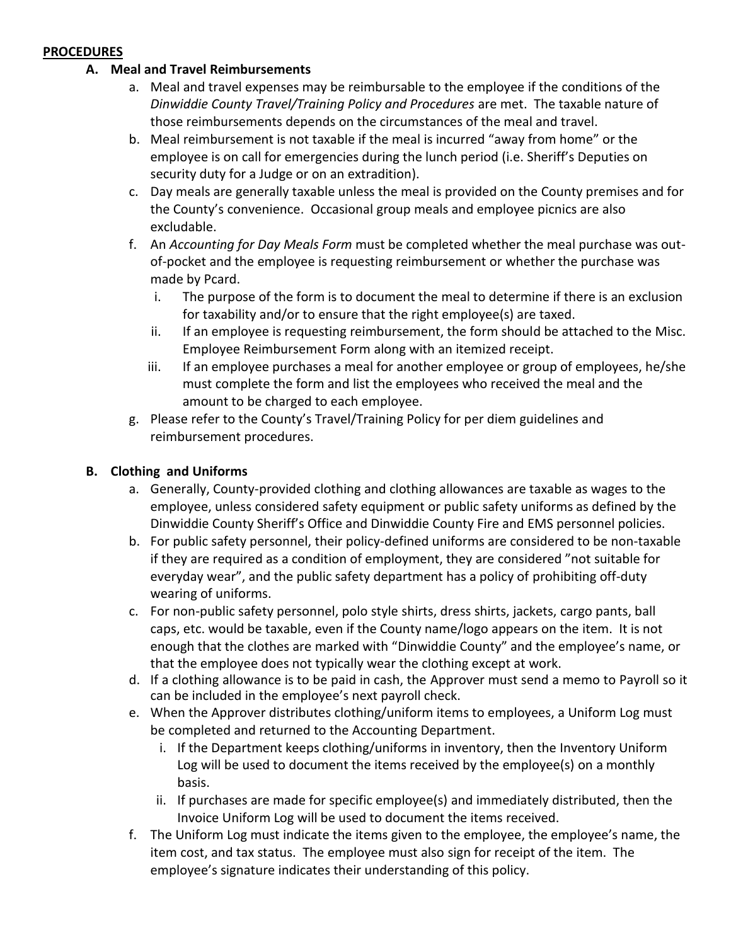#### **PROCEDURES**

### **A. Meal and Travel Reimbursements**

- a. Meal and travel expenses may be reimbursable to the employee if the conditions of the *Dinwiddie County Travel/Training Policy and Procedures* are met. The taxable nature of those reimbursements depends on the circumstances of the meal and travel.
- b. Meal reimbursement is not taxable if the meal is incurred "away from home" or the employee is on call for emergencies during the lunch period (i.e. Sheriff's Deputies on security duty for a Judge or on an extradition).
- c. Day meals are generally taxable unless the meal is provided on the County premises and for the County's convenience. Occasional group meals and employee picnics are also excludable.
- f. An *Accounting for Day Meals Form* must be completed whether the meal purchase was outof-pocket and the employee is requesting reimbursement or whether the purchase was made by Pcard.
	- i. The purpose of the form is to document the meal to determine if there is an exclusion for taxability and/or to ensure that the right employee(s) are taxed.
	- ii. If an employee is requesting reimbursement, the form should be attached to the Misc. Employee Reimbursement Form along with an itemized receipt.
	- iii. If an employee purchases a meal for another employee or group of employees, he/she must complete the form and list the employees who received the meal and the amount to be charged to each employee.
- g. Please refer to the County's Travel/Training Policy for per diem guidelines and reimbursement procedures.

### **B. Clothing and Uniforms**

- a. Generally, County-provided clothing and clothing allowances are taxable as wages to the employee, unless considered safety equipment or public safety uniforms as defined by the Dinwiddie County Sheriff's Office and Dinwiddie County Fire and EMS personnel policies.
- b. For public safety personnel, their policy-defined uniforms are considered to be non-taxable if they are required as a condition of employment, they are considered "not suitable for everyday wear", and the public safety department has a policy of prohibiting off-duty wearing of uniforms.
- c. For non-public safety personnel, polo style shirts, dress shirts, jackets, cargo pants, ball caps, etc. would be taxable, even if the County name/logo appears on the item. It is not enough that the clothes are marked with "Dinwiddie County" and the employee's name, or that the employee does not typically wear the clothing except at work.
- d. If a clothing allowance is to be paid in cash, the Approver must send a memo to Payroll so it can be included in the employee's next payroll check.
- e. When the Approver distributes clothing/uniform items to employees, a Uniform Log must be completed and returned to the Accounting Department.
	- i. If the Department keeps clothing/uniforms in inventory, then the Inventory Uniform Log will be used to document the items received by the employee(s) on a monthly basis.
	- ii. If purchases are made for specific employee(s) and immediately distributed, then the Invoice Uniform Log will be used to document the items received.
- f. The Uniform Log must indicate the items given to the employee, the employee's name, the item cost, and tax status. The employee must also sign for receipt of the item. The employee's signature indicates their understanding of this policy.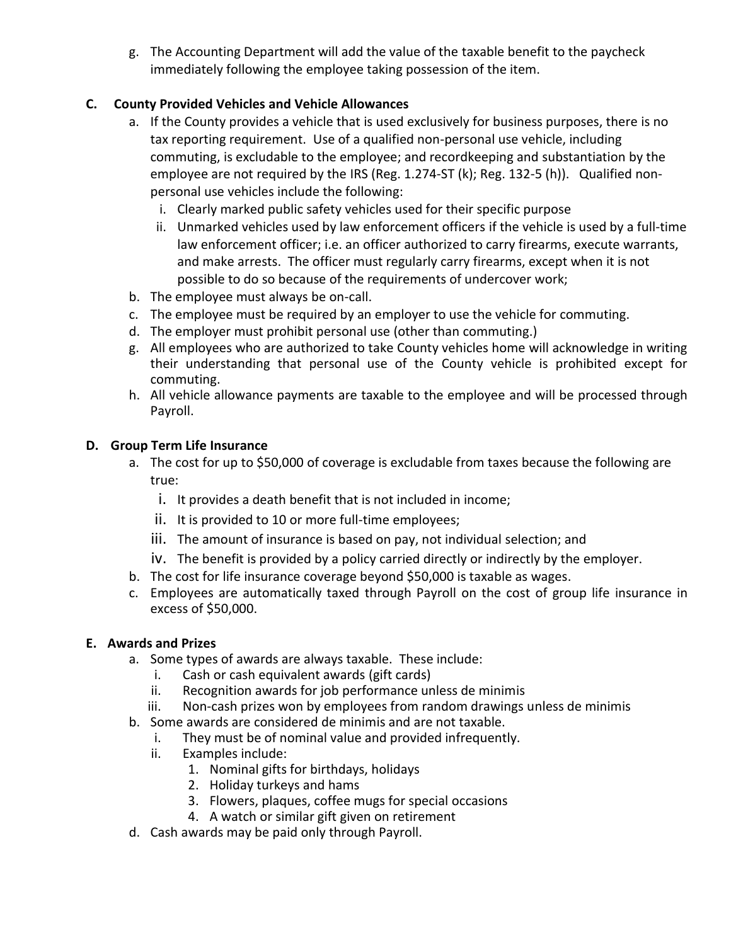g. The Accounting Department will add the value of the taxable benefit to the paycheck immediately following the employee taking possession of the item.

## **C. County Provided Vehicles and Vehicle Allowances**

- a. If the County provides a vehicle that is used exclusively for business purposes, there is no tax reporting requirement. Use of a qualified non-personal use vehicle, including commuting, is excludable to the employee; and recordkeeping and substantiation by the employee are not required by the IRS (Reg. 1.274-ST (k); Reg. 132-5 (h)). Qualified nonpersonal use vehicles include the following:
	- i. Clearly marked public safety vehicles used for their specific purpose
	- ii. Unmarked vehicles used by law enforcement officers if the vehicle is used by a full-time law enforcement officer; i.e. an officer authorized to carry firearms, execute warrants, and make arrests. The officer must regularly carry firearms, except when it is not possible to do so because of the requirements of undercover work;
- b. The employee must always be on-call.
- c. The employee must be required by an employer to use the vehicle for commuting.
- d. The employer must prohibit personal use (other than commuting.)
- g. All employees who are authorized to take County vehicles home will acknowledge in writing their understanding that personal use of the County vehicle is prohibited except for commuting.
- h. All vehicle allowance payments are taxable to the employee and will be processed through Payroll.

### **D. Group Term Life Insurance**

- a. The cost for up to \$50,000 of coverage is excludable from taxes because the following are true:
	- i. It provides a death benefit that is not included in income;
	- ii. It is provided to 10 or more full-time employees;
	- iii. The amount of insurance is based on pay, not individual selection; and
	- iv. The benefit is provided by a policy carried directly or indirectly by the employer.
- b. The cost for life insurance coverage beyond \$50,000 is taxable as wages.
- c. Employees are automatically taxed through Payroll on the cost of group life insurance in excess of \$50,000.

### **E. Awards and Prizes**

- a. Some types of awards are always taxable. These include:
	- i. Cash or cash equivalent awards (gift cards)
	- ii. Recognition awards for job performance unless de minimis
	- iii. Non-cash prizes won by employees from random drawings unless de minimis
- b. Some awards are considered de minimis and are not taxable.
	- i. They must be of nominal value and provided infrequently.
	- ii. Examples include:
		- 1. Nominal gifts for birthdays, holidays
		- 2. Holiday turkeys and hams
		- 3. Flowers, plaques, coffee mugs for special occasions
		- 4. A watch or similar gift given on retirement
- d. Cash awards may be paid only through Payroll.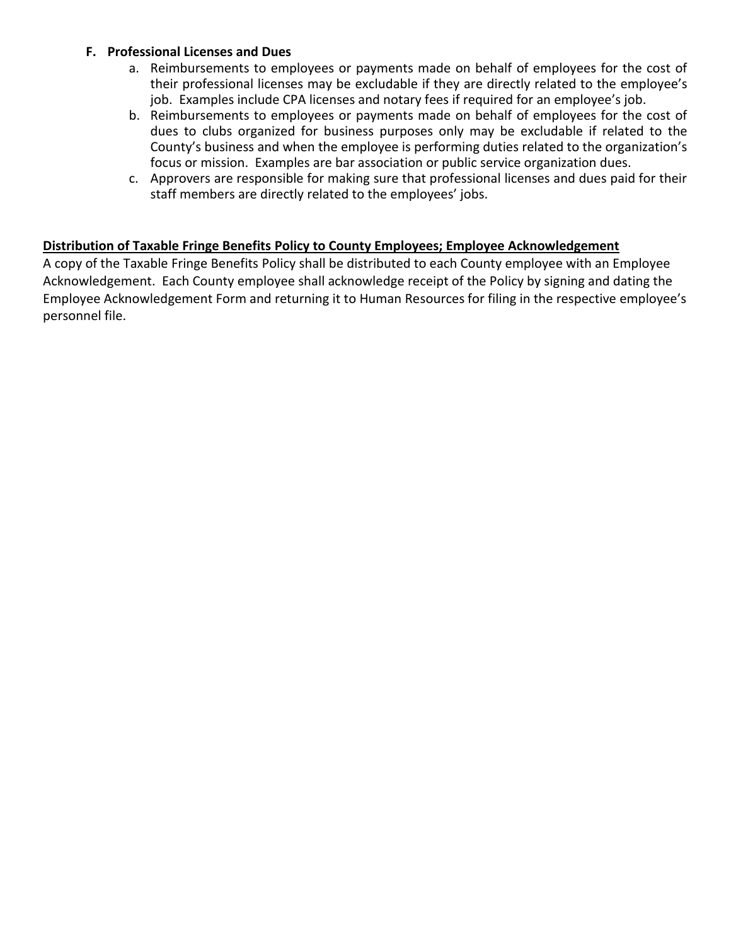#### **F. Professional Licenses and Dues**

- a. Reimbursements to employees or payments made on behalf of employees for the cost of their professional licenses may be excludable if they are directly related to the employee's job. Examples include CPA licenses and notary fees if required for an employee's job.
- b. Reimbursements to employees or payments made on behalf of employees for the cost of dues to clubs organized for business purposes only may be excludable if related to the County's business and when the employee is performing duties related to the organization's focus or mission. Examples are bar association or public service organization dues.
- c. Approvers are responsible for making sure that professional licenses and dues paid for their staff members are directly related to the employees' jobs.

### **Distribution of Taxable Fringe Benefits Policy to County Employees; Employee Acknowledgement**

A copy of the Taxable Fringe Benefits Policy shall be distributed to each County employee with an Employee Acknowledgement. Each County employee shall acknowledge receipt of the Policy by signing and dating the Employee Acknowledgement Form and returning it to Human Resources for filing in the respective employee's personnel file.